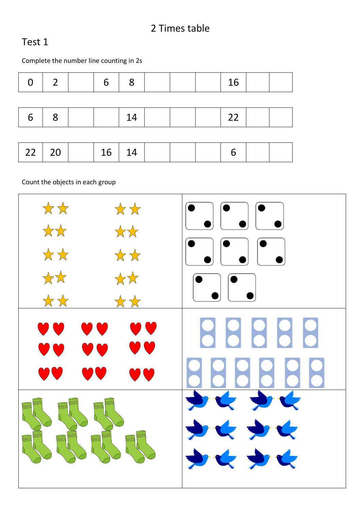#### 2 Times table

#### Test 1

Complete the number line counting in 2s

| $\Omega$          | $\overline{\phantom{a}}$ | 6  | 8  |  | 16 |  |
|-------------------|--------------------------|----|----|--|----|--|
|                   |                          |    |    |  |    |  |
| $\mathbb{R}$<br>6 | 8                        |    | 14 |  | 22 |  |
|                   |                          |    |    |  |    |  |
| 22   20           |                          | 16 | 14 |  | 6  |  |

Count the objects in each group

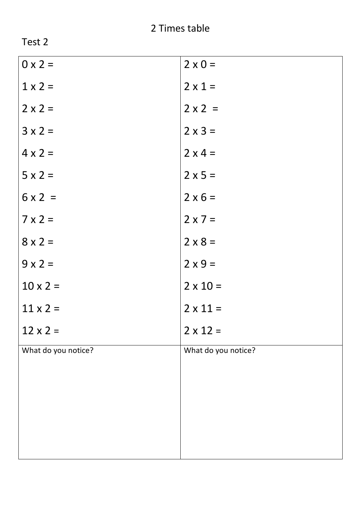| . .<br>K. |  |
|-----------|--|
|-----------|--|

| $0 \times 2 =$      | $2 \times 0 =$      |
|---------------------|---------------------|
| $1 \times 2 =$      | $2 \times 1 =$      |
| $2 \times 2 =$      | $2 \times 2 =$      |
| $3 \times 2 =$      | $2 \times 3 =$      |
| $4 \times 2 =$      | $2 \times 4 =$      |
| $5 \times 2 =$      | $2 \times 5 =$      |
| $6 \times 2 =$      | $2 \times 6 =$      |
| $7 \times 2 =$      | $2 \times 7 =$      |
| $8 \times 2 =$      | $2 \times 8 =$      |
| $9 \times 2 =$      | $2 \times 9 =$      |
| $10 \times 2 =$     | $2 \times 10 =$     |
| $11 \times 2 =$     | $2 \times 11 =$     |
| $12 \times 2 =$     | $2 \times 12 =$     |
| What do you notice? | What do you notice? |
|                     |                     |
|                     |                     |
|                     |                     |
|                     |                     |
|                     |                     |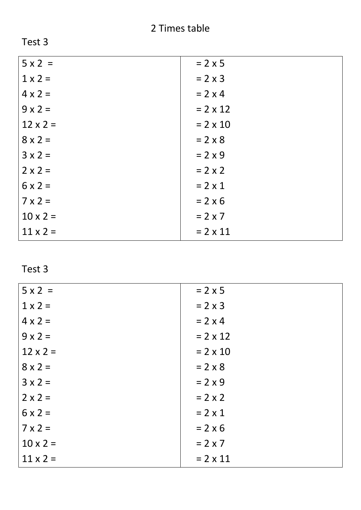| $= 2 \times 5$  |
|-----------------|
| $= 2 \times 3$  |
| $= 2 \times 4$  |
| $= 2 \times 12$ |
| $= 2 \times 10$ |
| $= 2 \times 8$  |
| $= 2 \times 9$  |
| $= 2 \times 2$  |
| $= 2 \times 1$  |
| $= 2 \times 6$  |
| $= 2 \times 7$  |
| $= 2 \times 11$ |
|                 |

| $5 \times 2 =$  | $= 2 \times 5$  |
|-----------------|-----------------|
| $1 \times 2 =$  | $= 2 \times 3$  |
| $4 \times 2 =$  | $= 2 \times 4$  |
| $9 \times 2 =$  | $= 2 \times 12$ |
| $12 \times 2 =$ | $= 2 \times 10$ |
| $8 \times 2 =$  | $= 2 \times 8$  |
| $3 \times 2 =$  | $= 2 \times 9$  |
| $2 \times 2 =$  | $= 2 \times 2$  |
| $6x2=$          | $= 2 \times 1$  |
| $7 \times 2 =$  | $= 2 \times 6$  |
| $10 \times 2 =$ | $= 2 \times 7$  |
| $11 \times 2 =$ | $= 2 \times 11$ |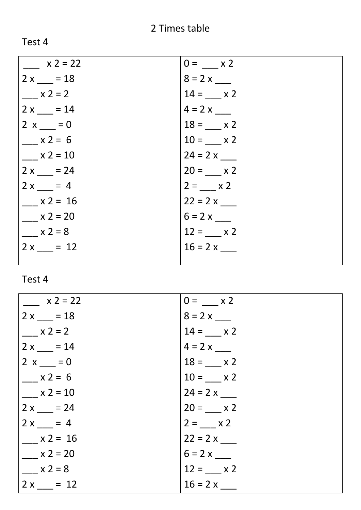## 2 Times table

Test 4

| $x 2 = 22$ | $0 = x 2$  |
|------------|------------|
| $2x = 18$  | $8 = 2x$   |
| $x 2 = 2$  | $14 = x 2$ |
| $2x = 14$  | $4 = 2 x$  |
| $2 x = 0$  | $18 = x 2$ |
| $x 2 = 6$  | $10 = x 2$ |
| $x 2 = 10$ | $24 = 2 x$ |
| $2x = 24$  | $20 = x 2$ |
| $2x = 4$   | $2 = x 2$  |
| $x 2 = 16$ |            |
| $x 2 = 20$ |            |
| $x 2 = 8$  | $12 = x 2$ |
| $2x = 12$  | $16 = 2 x$ |
|            |            |

| $x 2 = 22$ | $0 = x 2$  |
|------------|------------|
| $2x = 18$  |            |
| $x 2 = 2$  | $14 = x 2$ |
| $2x = 14$  | $4 = 2 x$  |
| $2 x = 0$  | $18 = x 2$ |
| $x 2 = 6$  | $10 = x 2$ |
| $x 2 = 10$ | $24 = 2 x$ |
| $2x = 24$  | $20 = x 2$ |
| $2x = 4$   | $2 = x 2$  |
| $x 2 = 16$ | $22 = 2x$  |
| $x 2 = 20$ | $6 = 2x$   |
| $x 2 = 8$  | $12 = x 2$ |
| $2x = 12$  | $16 = 2 x$ |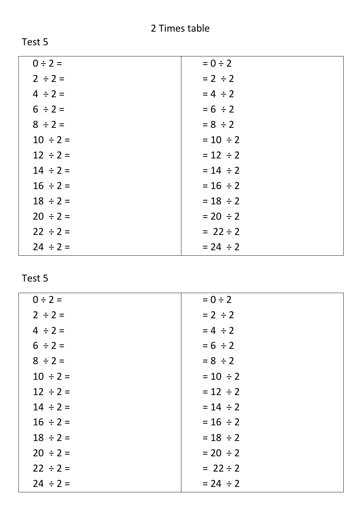| $0 \div 2 =$  | $= 0 \div 2$  |
|---------------|---------------|
| $2 \div 2 =$  | $= 2 \div 2$  |
| $4 \div 2 =$  | $= 4 \div 2$  |
| $6 \div 2 =$  | $= 6 \div 2$  |
| $8 \div 2 =$  | $= 8 \div 2$  |
| $10 \div 2 =$ | $= 10 \div 2$ |
| $12 \div 2 =$ | $= 12 \div 2$ |
| $14 \div 2 =$ | $= 14 \div 2$ |
| $16 \div 2 =$ | $= 16 \div 2$ |
| $18 \div 2 =$ | $= 18 \div 2$ |
| $20 \div 2 =$ | $= 20 \div 2$ |
| $22 \div 2 =$ | $= 22 \div 2$ |
| $24 \div 2 =$ | $= 24 \div 2$ |

| $0 \div 2 =$  | $= 0 \div 2$  |
|---------------|---------------|
| $2 \div 2 =$  | $= 2 \div 2$  |
| $4 \div 2 =$  | $= 4 \div 2$  |
| $6 \div 2 =$  | $= 6 \div 2$  |
| $8 \div 2 =$  | $= 8 \div 2$  |
| $10 \div 2 =$ | $= 10 \div 2$ |
| $12 \div 2 =$ | $= 12 \div 2$ |
| $14 \div 2 =$ | $= 14 \div 2$ |
| $16 \div 2 =$ | $= 16 \div 2$ |
| $18 \div 2 =$ | $= 18 \div 2$ |
| $20 \div 2 =$ | $= 20 \div 2$ |
| $22 \div 2 =$ | $= 22 \div 2$ |
| $24 \div 2 =$ | $= 24 \div 2$ |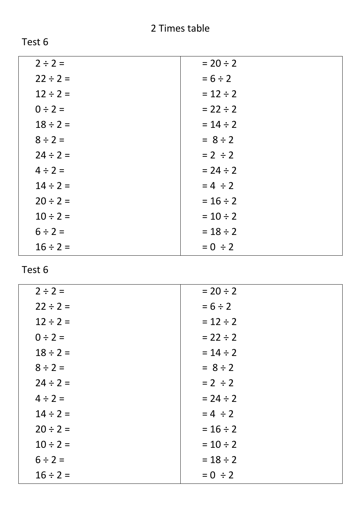| $2 \div 2 =$  | $= 20 \div 2$ |
|---------------|---------------|
| $22 \div 2 =$ | $= 6 \div 2$  |
| $12 \div 2 =$ | $= 12 \div 2$ |
| $0 \div 2 =$  | $= 22 \div 2$ |
| $18 \div 2 =$ | $= 14 \div 2$ |
| $8 \div 2 =$  | $= 8 \div 2$  |
| $24 \div 2 =$ | $= 2 \div 2$  |
| $4 \div 2 =$  | $= 24 \div 2$ |
| $14 \div 2 =$ | $= 4 \div 2$  |
| $20 \div 2 =$ | $= 16 \div 2$ |
| $10 \div 2 =$ | $= 10 \div 2$ |
| $6 \div 2 =$  | $= 18 \div 2$ |
| $16 \div 2 =$ | $= 0 \div 2$  |

| $2 \div 2 =$  | $= 20 \div 2$ |
|---------------|---------------|
| $22 \div 2 =$ | $= 6 \div 2$  |
| $12 \div 2 =$ | $= 12 \div 2$ |
| $0 \div 2 =$  | $= 22 \div 2$ |
| $18 \div 2 =$ | $= 14 \div 2$ |
| $8 \div 2 =$  | $= 8 \div 2$  |
| $24 \div 2 =$ | $= 2 \div 2$  |
| $4 \div 2 =$  | $= 24 \div 2$ |
| $14 \div 2 =$ | $= 4 \div 2$  |
| $20 \div 2 =$ | $= 16 \div 2$ |
| $10 \div 2 =$ | $= 10 \div 2$ |
| $6 \div 2 =$  | $= 18 \div 2$ |
| $16 \div 2 =$ | $= 0 \div 2$  |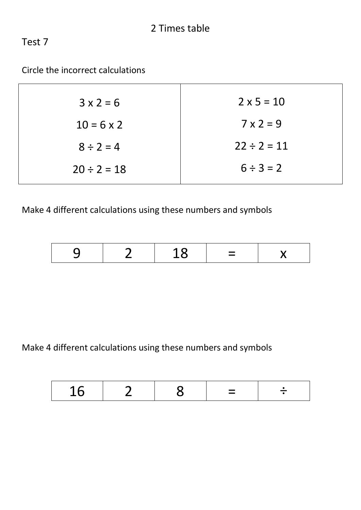Circle the incorrect calculations

| $3x2=6$           | $2 \times 5 = 10$ |
|-------------------|-------------------|
| $10 = 6 \times 2$ | $7 \times 2 = 9$  |
| $8 \div 2 = 4$    | $22 \div 2 = 11$  |
| $20 \div 2 = 18$  | $6 \div 3 = 2$    |

Make 4 different calculations using these numbers and symbols

| -<br>$\overline{\phantom{0}}$ |  |  |  | ___ |  |
|-------------------------------|--|--|--|-----|--|
|-------------------------------|--|--|--|-----|--|

Make 4 different calculations using these numbers and symbols

|--|